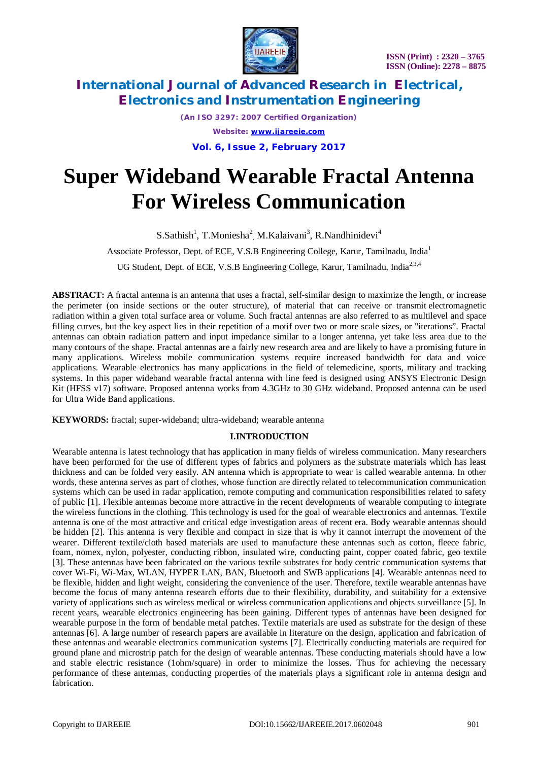

*(An ISO 3297: 2007 Certified Organization) Website: [www.ijareeie.com](http://www.ijareeie.com)* **Vol. 6, Issue 2, February 2017**

# **Super Wideband Wearable Fractal Antenna For Wireless Communication**

 $S.S$ athish<sup>1</sup>, T.Moniesha<sup>2</sup>, M.Kalaivani<sup>3</sup>, R.Nandhinidevi<sup>4</sup> Associate Professor, Dept. of ECE, V.S.B Engineering College, Karur, Tamilnadu, India<sup>1</sup> UG Student, Dept. of ECE, V.S.B Engineering College, Karur, Tamilnadu, India<sup>2,3,4</sup>

**ABSTRACT:** A fractal antenna is an antenna that uses a fractal, self-similar design to maximize the length, or increase the perimeter (on inside sections or the outer structure), of material that can receive or transmit electromagnetic radiation within a given total surface area or volume. Such fractal antennas are also referred to as multilevel and space filling curves, but the key aspect lies in their repetition of a motif over two or more scale sizes, or "iterations". Fractal antennas can obtain radiation pattern and input impedance similar to a longer antenna, yet take less area due to the many contours of the shape. Fractal antennas are a fairly new research area and are likely to have a promising future in many applications. Wireless mobile communication systems require increased bandwidth for data and voice applications. Wearable electronics has many applications in the field of telemedicine, sports, military and tracking systems. In this paper wideband wearable fractal antenna with line feed is designed using ANSYS Electronic Design Kit (HFSS v17) software. Proposed antenna works from 4.3GHz to 30 GHz wideband. Proposed antenna can be used for Ultra Wide Band applications.

**KEYWORDS:** fractal; super-wideband; ultra-wideband; wearable antenna

### **I.INTRODUCTION**

Wearable antenna is latest technology that has application in many fields of wireless communication. Many researchers have been performed for the use of different types of fabrics and polymers as the substrate materials which has least thickness and can be folded very easily. AN antenna which is appropriate to wear is called wearable antenna. In other words, these antenna serves as part of clothes, whose function are directly related to telecommunication communication systems which can be used in radar application, remote computing and communication responsibilities related to safety of public [1]. Flexible antennas become more attractive in the recent developments of wearable computing to integrate the wireless functions in the clothing. This technology is used for the goal of wearable electronics and antennas. Textile antenna is one of the most attractive and critical edge investigation areas of recent era. Body wearable antennas should be hidden [2]. This antenna is very flexible and compact in size that is why it cannot interrupt the movement of the wearer. Different textile/cloth based materials are used to manufacture these antennas such as cotton, fleece fabric, foam, nomex, nylon, polyester, conducting ribbon, insulated wire, conducting paint, copper coated fabric, geo textile [3]. These antennas have been fabricated on the various textile substrates for body centric communication systems that cover Wi-Fi, Wi-Max, WLAN, HYPER LAN, BAN, Bluetooth and SWB applications [4]. Wearable antennas need to be flexible, hidden and light weight, considering the convenience of the user. Therefore, textile wearable antennas have become the focus of many antenna research efforts due to their flexibility, durability, and suitability for a extensive variety of applications such as wireless medical or wireless communication applications and objects surveillance [5]. In recent years, wearable electronics engineering has been gaining. Different types of antennas have been designed for wearable purpose in the form of bendable metal patches. Textile materials are used as substrate for the design of these antennas [6]. A large number of research papers are available in literature on the design, application and fabrication of these antennas and wearable electronics communication systems [7]. Electrically conducting materials are required for ground plane and microstrip patch for the design of wearable antennas. These conducting materials should have a low and stable electric resistance (1ohm/square) in order to minimize the losses. Thus for achieving the necessary performance of these antennas, conducting properties of the materials plays a significant role in antenna design and fabrication.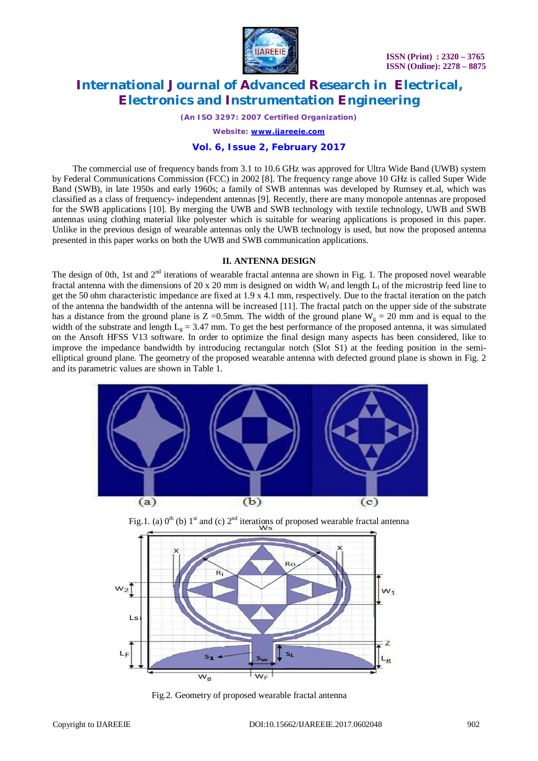

*(An ISO 3297: 2007 Certified Organization)*

*Website: [www.ijareeie.com](http://www.ijareeie.com)*

### **Vol. 6, Issue 2, February 2017**

The commercial use of frequency bands from 3.1 to 10.6 GHz was approved for Ultra Wide Band (UWB) system by Federal Communications Commission (FCC) in 2002 [8]. The frequency range above 10 GHz is called Super Wide Band (SWB), in late 1950s and early 1960s; a family of SWB antennas was developed by Rumsey et.al, which was classified as a class of frequency- independent antennas [9]. Recently, there are many monopole antennas are proposed for the SWB applications [10]. By merging the UWB and SWB technology with textile technology, UWB and SWB antennas using clothing material like polyester which is suitable for wearing applications is proposed in this paper. Unlike in the previous design of wearable antennas only the UWB technology is used, but now the proposed antenna presented in this paper works on both the UWB and SWB communication applications.

#### **II. ANTENNA DESIGN**

The design of 0th, 1st and  $2<sup>nd</sup>$  iterations of wearable fractal antenna are shown in Fig. 1. The proposed novel wearable fractal antenna with the dimensions of 20 x 20 mm is designed on width W<sub>f</sub> and length  $L_f$  of the microstrip feed line to get the 50 ohm characteristic impedance are fixed at 1.9 x 4.1 mm, respectively. Due to the fractal iteration on the patch of the antenna the bandwidth of the antenna will be increased [11]. The fractal patch on the upper side of the substrate has a distance from the ground plane is  $Z = 0.5$ mm. The width of the ground plane W<sub>g</sub> = 20 mm and is equal to the width of the substrate and length  $L_g = 3.47$  mm. To get the best performance of the proposed antenna, it was simulated on the Ansoft HFSS V13 software. In order to optimize the final design many aspects has been considered, like to improve the impedance bandwidth by introducing rectangular notch (Slot S1) at the feeding position in the semielliptical ground plane. The geometry of the proposed wearable antenna with defected ground plane is shown in Fig. 2 and its parametric values are shown in Table 1.





Fig.1. (a)  $0^{th}$  (b) 1<sup>st</sup> and (c)  $2^{nd}$  iterations of proposed wearable fractal antenna

Fig.2. Geometry of proposed wearable fractal antenna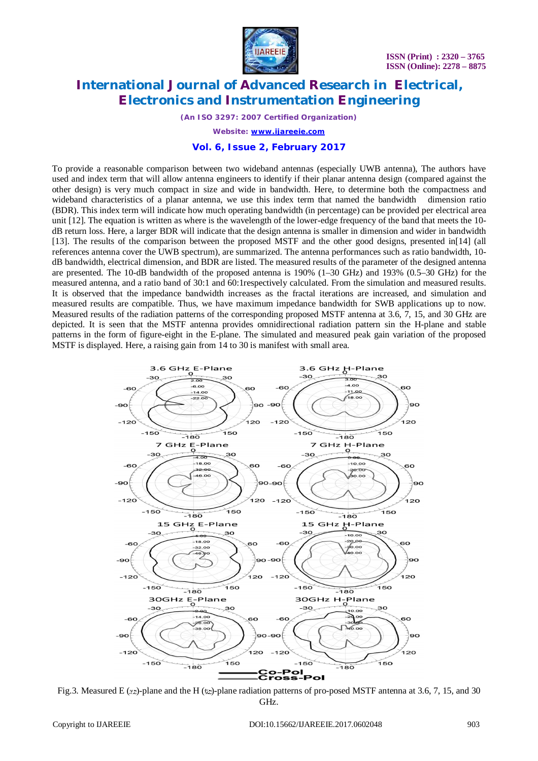

*(An ISO 3297: 2007 Certified Organization)*

*Website: [www.ijareeie.com](http://www.ijareeie.com)*

#### **Vol. 6, Issue 2, February 2017**

To provide a reasonable comparison between two wideband antennas (especially UWB antenna), The authors have used and index term that will allow antenna engineers to identify if their planar antenna design (compared against the other design) is very much compact in size and wide in bandwidth. Here, to determine both the compactness and wideband characteristics of a planar antenna, we use this index term that named the bandwidth dimension ratio (BDR). This index term will indicate how much operating bandwidth (in percentage) can be provided per electrical area unit [12]. The equation is written as where is the wavelength of the lower-edge frequency of the band that meets the 10 dB return loss. Here, a larger BDR will indicate that the design antenna is smaller in dimension and wider in bandwidth [13]. The results of the comparison between the proposed MSTF and the other good designs, presented in[14] (all references antenna cover the UWB spectrum), are summarized. The antenna performances such as ratio bandwidth, 10 dB bandwidth, electrical dimension, and BDR are listed. The measured results of the parameter of the designed antenna are presented. The 10-dB bandwidth of the proposed antenna is 190% (1–30 GHz) and 193% (0.5–30 GHz) for the measured antenna, and a ratio band of 30:1 and 60:1respectively calculated. From the simulation and measured results. It is observed that the impedance bandwidth increases as the fractal iterations are increased, and simulation and measured results are compatible. Thus, we have maximum impedance bandwidth for SWB applications up to now. Measured results of the radiation patterns of the corresponding proposed MSTF antenna at 3.6, 7, 15, and 30 GHz are depicted. It is seen that the MSTF antenna provides omnidirectional radiation pattern sin the H-plane and stable patterns in the form of figure-eight in the E-plane. The simulated and measured peak gain variation of the proposed MSTF is displayed. Here, a raising gain from 14 to 30 is manifest with small area.



Fig.3. Measured E (xz)-plane and the H (yz)-plane radiation patterns of pro-posed MSTF antenna at 3.6, 7, 15, and 30 GHz.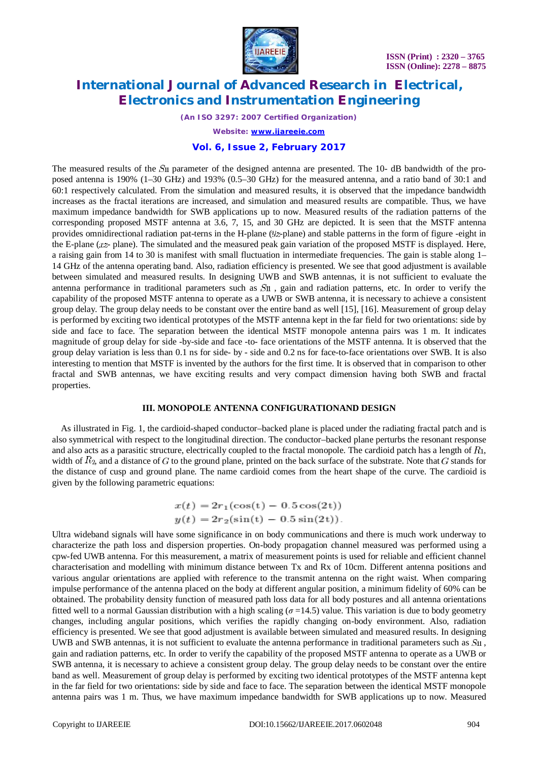



*(An ISO 3297: 2007 Certified Organization)*

*Website: [www.ijareeie.com](http://www.ijareeie.com)*

### **Vol. 6, Issue 2, February 2017**

The measured results of the S<sub>II</sub> parameter of the designed antenna are presented. The 10- dB bandwidth of the proposed antenna is 190% (1–30 GHz) and 193% (0.5–30 GHz) for the measured antenna, and a ratio band of 30:1 and 60:1 respectively calculated. From the simulation and measured results, it is observed that the impedance bandwidth increases as the fractal iterations are increased, and simulation and measured results are compatible. Thus, we have maximum impedance bandwidth for SWB applications up to now. Measured results of the radiation patterns of the corresponding proposed MSTF antenna at 3.6, 7, 15, and 30 GHz are depicted. It is seen that the MSTF antenna provides omnidirectional radiation pat-terns in the H-plane  $(y_z$ -plane) and stable patterns in the form of figure -eight in the E-plane  $(xz$ -plane). The simulated and the measured peak gain variation of the proposed MSTF is displayed. Here, a raising gain from 14 to 30 is manifest with small fluctuation in intermediate frequencies. The gain is stable along 1– 14 GHz of the antenna operating band. Also, radiation efficiency is presented. We see that good adjustment is available between simulated and measured results. In designing UWB and SWB antennas, it is not sufficient to evaluate the antenna performance in traditional parameters such as  $S_{II}$ , gain and radiation patterns, etc. In order to verify the capability of the proposed MSTF antenna to operate as a UWB or SWB antenna, it is necessary to achieve a consistent group delay. The group delay needs to be constant over the entire band as well [15], [16]. Measurement of group delay is performed by exciting two identical prototypes of the MSTF antenna kept in the far field for two orientations: side by side and face to face. The separation between the identical MSTF monopole antenna pairs was 1 m. It indicates magnitude of group delay for side -by-side and face -to- face orientations of the MSTF antenna. It is observed that the group delay variation is less than 0.1 ns for side- by - side and 0.2 ns for face-to-face orientations over SWB. It is also interesting to mention that MSTF is invented by the authors for the first time. It is observed that in comparison to other fractal and SWB antennas, we have exciting results and very compact dimension having both SWB and fractal properties.

#### **III. MONOPOLE ANTENNA CONFIGURATIONAND DESIGN**

As illustrated in Fig. 1, the cardioid-shaped conductor–backed plane is placed under the radiating fractal patch and is also symmetrical with respect to the longitudinal direction. The conductor–backed plane perturbs the resonant response and also acts as a parasitic structure, electrically coupled to the fractal monopole. The cardioid patch has a length of  $R_1$ , width of  $R_2$ , and a distance of G to the ground plane, printed on the back surface of the substrate. Note that G stands for the distance of cusp and ground plane. The name cardioid comes from the heart shape of the curve. The cardioid is given by the following parametric equations:

$$
x(t) = 2r_1(\cos(t) - 0.5\cos(2t))
$$
  

$$
y(t) = 2r_2(\sin(t) - 0.5\sin(2t)).
$$

Ultra wideband signals will have some significance in on body communications and there is much work underway to characterize the path loss and dispersion properties. On-body propagation channel measured was performed using a cpw-fed UWB antenna. For this measurement, a matrix of measurement points is used for reliable and efficient channel characterisation and modelling with minimum distance between Tx and Rx of 10cm. Different antenna positions and various angular orientations are applied with reference to the transmit antenna on the right waist. When comparing impulse performance of the antenna placed on the body at different angular position, a minimum fidelity of 60% can be obtained. The probability density function of measured path loss data for all body postures and all antenna orientations fitted well to a normal Gaussian distribution with a high scaling  $(\sigma = 14.5)$  value. This variation is due to body geometry changes, including angular positions, which verifies the rapidly changing on-body environment. Also, radiation efficiency is presented. We see that good adjustment is available between simulated and measured results. In designing UWB and SWB antennas, it is not sufficient to evaluate the antenna performance in traditional parameters such as  $S<sub>II</sub>$ , gain and radiation patterns, etc. In order to verify the capability of the proposed MSTF antenna to operate as a UWB or SWB antenna, it is necessary to achieve a consistent group delay. The group delay needs to be constant over the entire band as well. Measurement of group delay is performed by exciting two identical prototypes of the MSTF antenna kept in the far field for two orientations: side by side and face to face. The separation between the identical MSTF monopole antenna pairs was 1 m. Thus, we have maximum impedance bandwidth for SWB applications up to now. Measured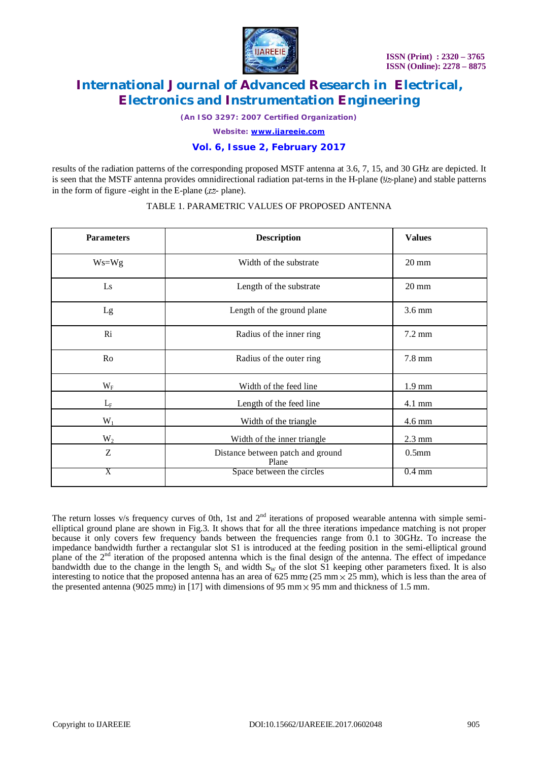

*(An ISO 3297: 2007 Certified Organization)*

*Website: [www.ijareeie.com](http://www.ijareeie.com)*

### **Vol. 6, Issue 2, February 2017**

results of the radiation patterns of the corresponding proposed MSTF antenna at 3.6, 7, 15, and 30 GHz are depicted. It is seen that the MSTF antenna provides omnidirectional radiation pat-terns in the H-plane  $(1/2)$ -plane) and stable patterns in the form of figure -eight in the E-plane  $(xz$ -plane).

| <b>Parameters</b>      | <b>Description</b>                         | <b>Values</b>     |
|------------------------|--------------------------------------------|-------------------|
| $Ws = Wg$              | Width of the substrate                     | $20 \text{ mm}$   |
| $\mathbf{L}\mathbf{s}$ | Length of the substrate                    | $20 \text{ mm}$   |
| Lg                     | Length of the ground plane                 | $3.6 \text{ mm}$  |
| R <sub>i</sub>         | Radius of the inner ring                   | 7.2 mm            |
| Ro                     | Radius of the outer ring                   | 7.8 mm            |
| $W_{\rm F}$            | Width of the feed line                     | $1.9 \text{ mm}$  |
| $L_{\rm F}$            | Length of the feed line                    | $4.1 \text{ mm}$  |
| $W_1$                  | Width of the triangle                      | 4.6 mm            |
| $W_2$                  | Width of the inner triangle                | $2.3 \text{ mm}$  |
| Z                      | Distance between patch and ground<br>Plane | 0.5 <sub>mm</sub> |
| Χ                      | Space between the circles                  | $0.4 \text{ mm}$  |

### TABLE 1. PARAMETRIC VALUES OF PROPOSED ANTENNA

The return losses v/s frequency curves of 0th, 1st and  $2<sup>nd</sup>$  iterations of proposed wearable antenna with simple semielliptical ground plane are shown in Fig.3. It shows that for all the three iterations impedance matching is not proper because it only covers few frequency bands between the frequencies range from 0.1 to 30GHz. To increase the impedance bandwidth further a rectangular slot S1 is introduced at the feeding position in the semi-elliptical ground plane of the  $2<sup>nd</sup>$  iteration of the proposed antenna which is the final design of the antenna. The effect of impedance bandwidth due to the change in the length  $S_L$  and width  $S_W$  of the slot  $\overline{S1}$  keeping other parameters fixed. It is also interesting to notice that the proposed antenna has an area of 625 mm  $\frac{25 \text{ mm}}{25 \text{ mm}}$ , which is less than the area of the presented antenna (9025 mm<sub>2</sub>) in [17] with dimensions of 95 mm  $\times$  95 mm and thickness of 1.5 mm.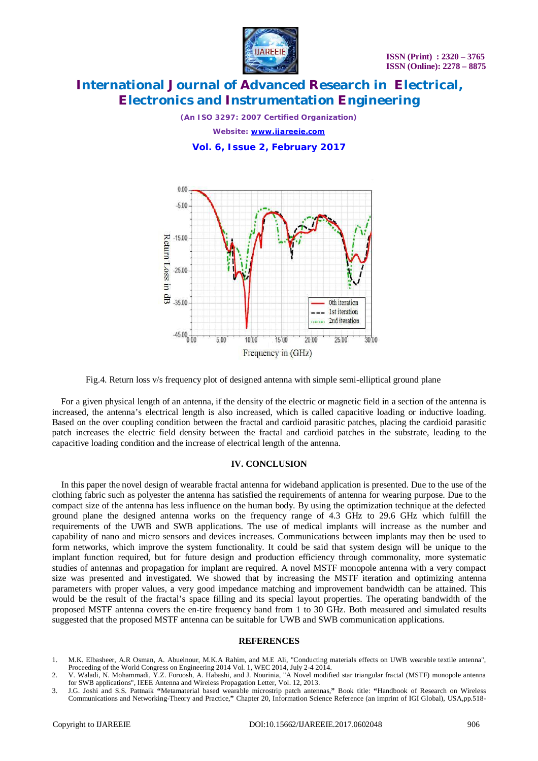

*(An ISO 3297: 2007 Certified Organization) Website: [www.ijareeie.com](http://www.ijareeie.com)*

**Vol. 6, Issue 2, February 2017**



Fig.4. Return loss v/s frequency plot of designed antenna with simple semi-elliptical ground plane

For a given physical length of an antenna, if the density of the electric or magnetic field in a section of the antenna is increased, the antenna's electrical length is also increased, which is called capacitive loading or inductive loading. Based on the over coupling condition between the fractal and cardioid parasitic patches, placing the cardioid parasitic patch increases the electric field density between the fractal and cardioid patches in the substrate, leading to the capacitive loading condition and the increase of electrical length of the antenna.

#### **IV. CONCLUSION**

In this paper the novel design of wearable fractal antenna for wideband application is presented. Due to the use of the clothing fabric such as polyester the antenna has satisfied the requirements of antenna for wearing purpose. Due to the compact size of the antenna has less influence on the human body. By using the optimization technique at the defected ground plane the designed antenna works on the frequency range of 4.3 GHz to 29.6 GHz which fulfill the requirements of the UWB and SWB applications. The use of medical implants will increase as the number and capability of nano and micro sensors and devices increases. Communications between implants may then be used to form networks, which improve the system functionality. It could be said that system design will be unique to the implant function required, but for future design and production efficiency through commonality, more systematic studies of antennas and propagation for implant are required. A novel MSTF monopole antenna with a very compact size was presented and investigated. We showed that by increasing the MSTF iteration and optimizing antenna parameters with proper values, a very good impedance matching and improvement bandwidth can be attained. This would be the result of the fractal's space filling and its special layout properties. The operating bandwidth of the proposed MSTF antenna covers the en-tire frequency band from 1 to 30 GHz. Both measured and simulated results suggested that the proposed MSTF antenna can be suitable for UWB and SWB communication applications.

#### **REFERENCES**

- 1. M.K. Elbasheer, A.R Osman, A. Abuelnour, M.K.A Rahim, and M.E Ali, "Conducting materials effects on UWB wearable textile antenna", Proceeding of the World Congress on Engineering 2014 Vol. 1, WEC 2014, July 2-4 2014.
- 2. V. Waladi, N. Mohammadi, Y.Z. Foroosh, A. Habashi, and J. Nourinia, "A Novel modified star triangular fractal (MSTF) monopole antenna for SWB applications", IEEE Antenna and Wireless Propagation Letter, Vol. 12, 2013.
- 3. J.G. Joshi and S.S. Pattnaik **"**Metamaterial based wearable microstrip patch antennas,**"** Book title: **"**Handbook of Research on Wireless Communications and Networking-Theory and Practice,**"** Chapter 20, Information Science Reference (an imprint of IGI Global), USA,pp.518-